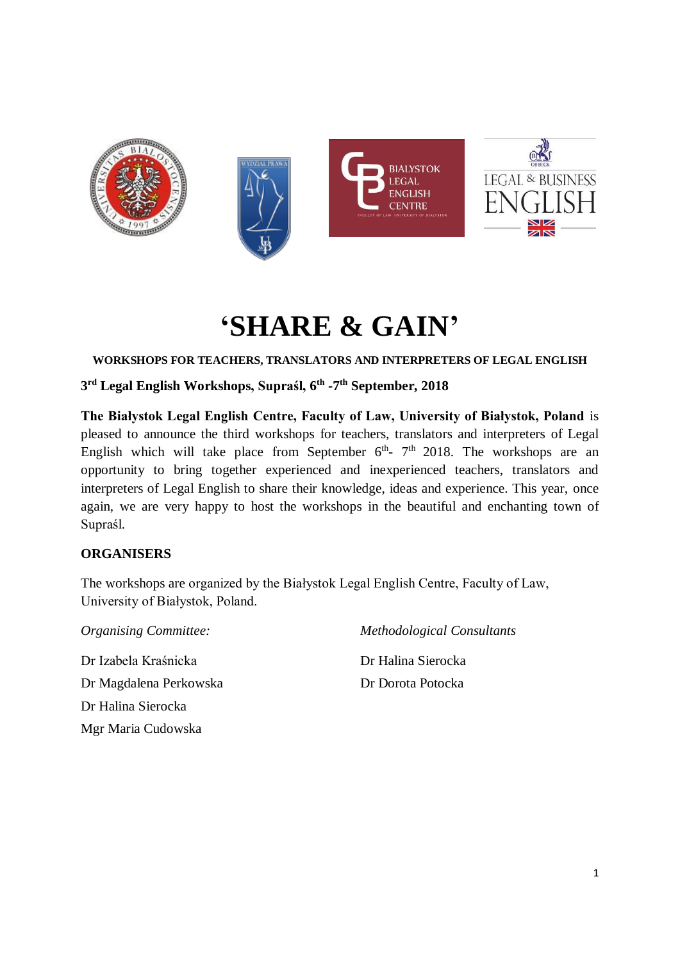

# **'SHARE & GAIN'**

**WORKSHOPS FOR TEACHERS, TRANSLATORS AND INTERPRETERS OF LEGAL ENGLISH**

**3 rd Legal English Workshops, Supraśl, 6 th -7 th September, 2018**

**The Białystok Legal English Centre, Faculty of Law, University of Białystok, Poland** is pleased to announce the third workshops for teachers, translators and interpreters of Legal English which will take place from September  $6<sup>th</sup>$ -  $7<sup>th</sup>$  2018. The workshops are an opportunity to bring together experienced and inexperienced teachers, translators and interpreters of Legal English to share their knowledge, ideas and experience. This year, once again, we are very happy to host the workshops in the beautiful and enchanting town of Supraśl.

# **ORGANISERS**

The workshops are organized by the Białystok Legal English Centre, Faculty of Law, University of Białystok, Poland.

*Organising Committee:* Dr Izabela Kraśnicka Dr Magdalena Perkowska Dr Halina Sierocka Mgr Maria Cudowska

*Methodological Consultants*

Dr Halina Sierocka Dr Dorota Potocka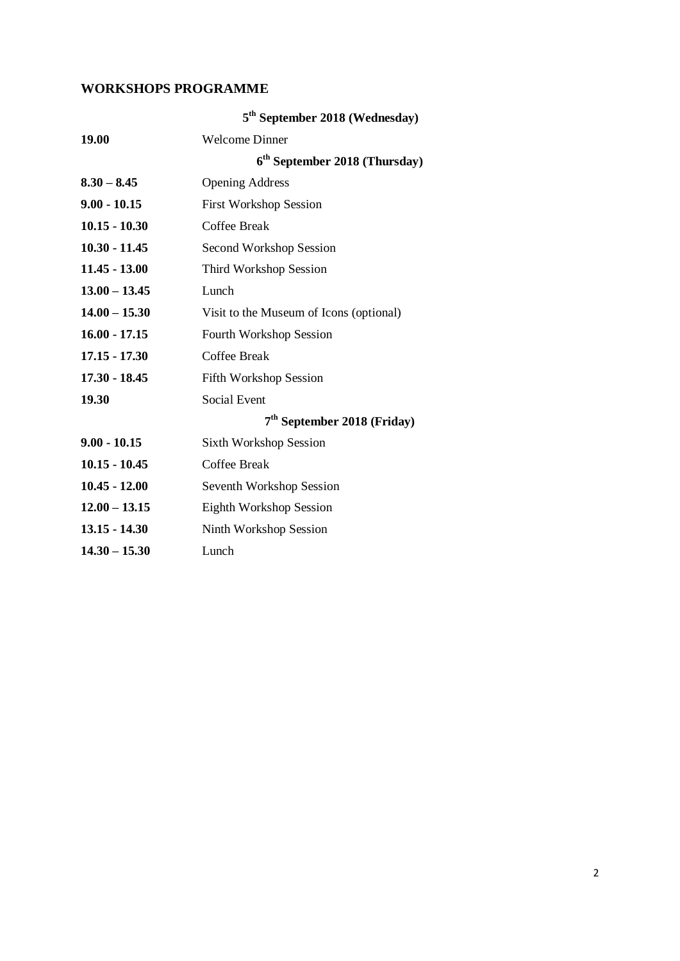# **WORKSHOPS PROGRAMME**

|                 | 5 <sup>th</sup> September 2018 (Wednesday) |  |  |
|-----------------|--------------------------------------------|--|--|
| 19.00           | <b>Welcome Dinner</b>                      |  |  |
|                 | $6th$ September 2018 (Thursday)            |  |  |
| $8.30 - 8.45$   | <b>Opening Address</b>                     |  |  |
| $9.00 - 10.15$  | <b>First Workshop Session</b>              |  |  |
| $10.15 - 10.30$ | <b>Coffee Break</b>                        |  |  |
| $10.30 - 11.45$ | Second Workshop Session                    |  |  |
| $11.45 - 13.00$ | Third Workshop Session                     |  |  |
| $13.00 - 13.45$ | Lunch                                      |  |  |
| $14.00 - 15.30$ | Visit to the Museum of Icons (optional)    |  |  |
| $16.00 - 17.15$ | <b>Fourth Workshop Session</b>             |  |  |
| $17.15 - 17.30$ | Coffee Break                               |  |  |
| $17.30 - 18.45$ | <b>Fifth Workshop Session</b>              |  |  |
| 19.30           | Social Event                               |  |  |
|                 | $7th$ September 2018 (Friday)              |  |  |
| $9.00 - 10.15$  | <b>Sixth Workshop Session</b>              |  |  |
| $10.15 - 10.45$ | <b>Coffee Break</b>                        |  |  |
| $10.45 - 12.00$ | Seventh Workshop Session                   |  |  |
| $12.00 - 13.15$ | Eighth Workshop Session                    |  |  |
| $13.15 - 14.30$ | <b>Ninth Workshop Session</b>              |  |  |
| $14.30 - 15.30$ | Lunch                                      |  |  |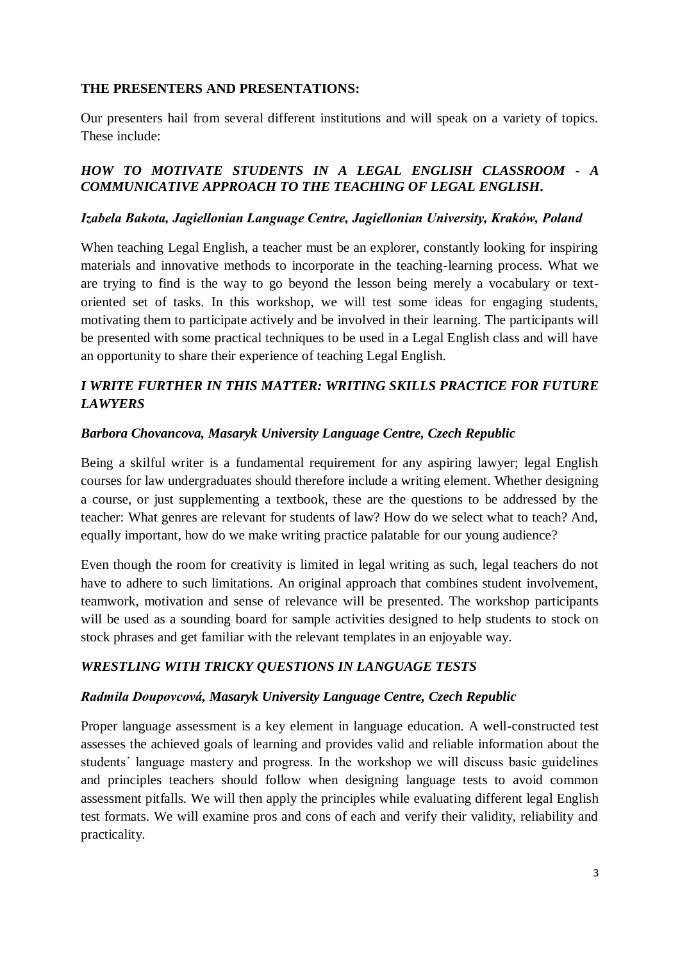## **THE PRESENTERS AND PRESENTATIONS:**

Our presenters hail from several different institutions and will speak on a variety of topics. These include:

## *HOW TO MOTIVATE STUDENTS IN A LEGAL ENGLISH CLASSROOM - A COMMUNICATIVE APPROACH TO THE TEACHING OF LEGAL ENGLISH.*

## *Izabela Bakota, Jagiellonian Language Centre, Jagiellonian University, Kraków, Poland*

When teaching Legal English, a teacher must be an explorer, constantly looking for inspiring materials and innovative methods to incorporate in the teaching-learning process. What we are trying to find is the way to go beyond the lesson being merely a vocabulary or textoriented set of tasks. In this workshop, we will test some ideas for engaging students, motivating them to participate actively and be involved in their learning. The participants will be presented with some practical techniques to be used in a Legal English class and will have an opportunity to share their experience of teaching Legal English.

# *I WRITE FURTHER IN THIS MATTER: WRITING SKILLS PRACTICE FOR FUTURE LAWYERS*

## *Barbora Chovancova, Masaryk University Language Centre, Czech Republic*

Being a skilful writer is a fundamental requirement for any aspiring lawyer; legal English courses for law undergraduates should therefore include a writing element. Whether designing a course, or just supplementing a textbook, these are the questions to be addressed by the teacher: What genres are relevant for students of law? How do we select what to teach? And, equally important, how do we make writing practice palatable for our young audience?

Even though the room for creativity is limited in legal writing as such, legal teachers do not have to adhere to such limitations. An original approach that combines student involvement, teamwork, motivation and sense of relevance will be presented. The workshop participants will be used as a sounding board for sample activities designed to help students to stock on stock phrases and get familiar with the relevant templates in an enjoyable way.

## *WRESTLING WITH TRICKY QUESTIONS IN LANGUAGE TESTS*

## *Radmila Doupovcová, Masaryk University Language Centre, Czech Republic*

Proper language assessment is a key element in language education. A well-constructed test assesses the achieved goals of learning and provides valid and reliable information about the students´ language mastery and progress. In the workshop we will discuss basic guidelines and principles teachers should follow when designing language tests to avoid common assessment pitfalls. We will then apply the principles while evaluating different legal English test formats. We will examine pros and cons of each and verify their validity, reliability and practicality.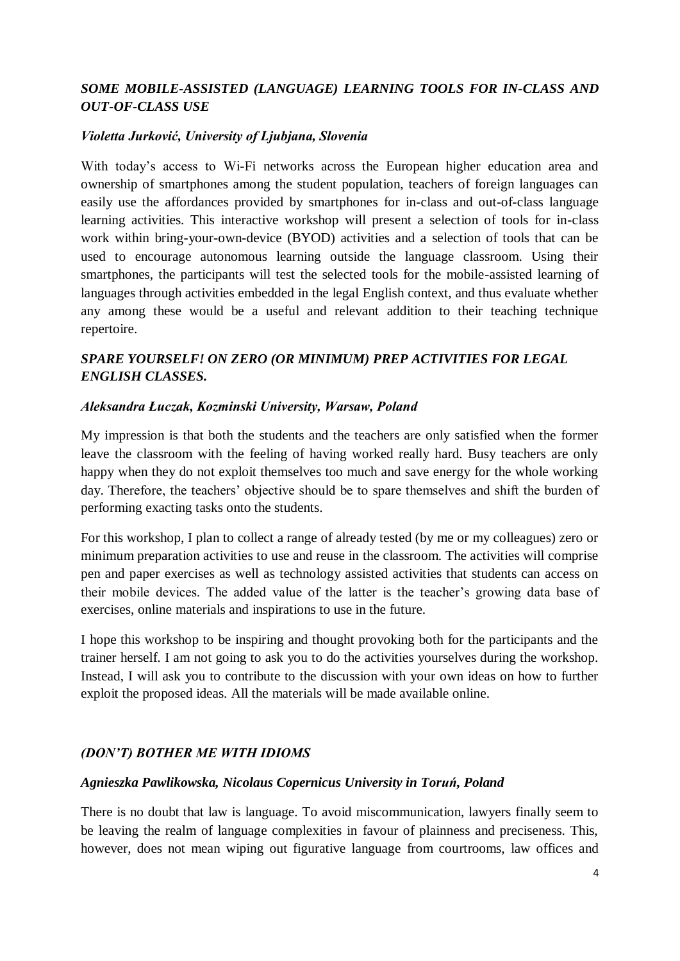# *SOME MOBILE-ASSISTED (LANGUAGE) LEARNING TOOLS FOR IN-CLASS AND OUT-OF-CLASS USE*

## *Violetta Jurković, University of Ljubjana, Slovenia*

With today's access to Wi-Fi networks across the European higher education area and ownership of smartphones among the student population, teachers of foreign languages can easily use the affordances provided by smartphones for in-class and out-of-class language learning activities. This interactive workshop will present a selection of tools for in-class work within bring-your-own-device (BYOD) activities and a selection of tools that can be used to encourage autonomous learning outside the language classroom. Using their smartphones, the participants will test the selected tools for the mobile-assisted learning of languages through activities embedded in the legal English context, and thus evaluate whether any among these would be a useful and relevant addition to their teaching technique repertoire.

# *SPARE YOURSELF! ON ZERO (OR MINIMUM) PREP ACTIVITIES FOR LEGAL ENGLISH CLASSES.*

#### *Aleksandra Łuczak, Kozminski University, Warsaw, Poland*

My impression is that both the students and the teachers are only satisfied when the former leave the classroom with the feeling of having worked really hard. Busy teachers are only happy when they do not exploit themselves too much and save energy for the whole working day. Therefore, the teachers' objective should be to spare themselves and shift the burden of performing exacting tasks onto the students.

For this workshop, I plan to collect a range of already tested (by me or my colleagues) zero or minimum preparation activities to use and reuse in the classroom. The activities will comprise pen and paper exercises as well as technology assisted activities that students can access on their mobile devices. The added value of the latter is the teacher's growing data base of exercises, online materials and inspirations to use in the future.

I hope this workshop to be inspiring and thought provoking both for the participants and the trainer herself. I am not going to ask you to do the activities yourselves during the workshop. Instead, I will ask you to contribute to the discussion with your own ideas on how to further exploit the proposed ideas. All the materials will be made available online.

#### *(DON'T) BOTHER ME WITH IDIOMS*

#### *Agnieszka Pawlikowska, Nicolaus Copernicus University in Toruń, Poland*

There is no doubt that law is language. To avoid miscommunication, lawyers finally seem to be leaving the realm of language complexities in favour of plainness and preciseness. This, however, does not mean wiping out figurative language from courtrooms, law offices and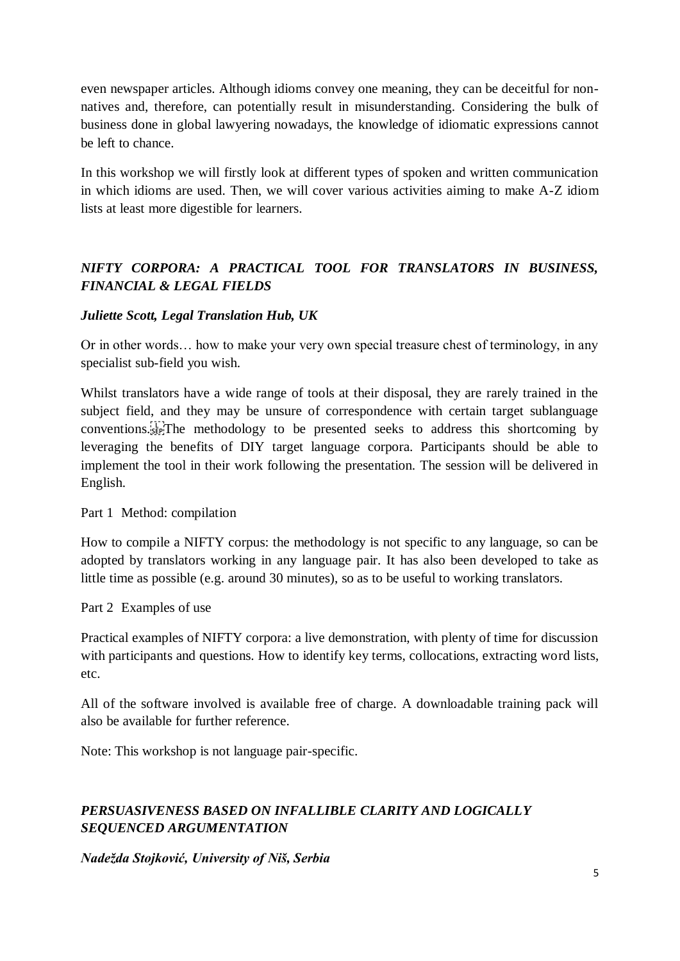even newspaper articles. Although idioms convey one meaning, they can be deceitful for nonnatives and, therefore, can potentially result in misunderstanding. Considering the bulk of business done in global lawyering nowadays, the knowledge of idiomatic expressions cannot be left to chance.

In this workshop we will firstly look at different types of spoken and written communication in which idioms are used. Then, we will cover various activities aiming to make A-Z idiom lists at least more digestible for learners.

# *NIFTY CORPORA: A PRACTICAL TOOL FOR TRANSLATORS IN BUSINESS, FINANCIAL & LEGAL FIELDS*

# *Juliette Scott, Legal Translation Hub, UK*

Or in other words… how to make your very own special treasure chest of terminology, in any specialist sub-field you wish.

Whilst translators have a wide range of tools at their disposal, they are rarely trained in the subject field, and they may be unsure of correspondence with certain target sublanguage conventions.
The methodology to be presented seeks to address this shortcoming by leveraging the benefits of DIY target language corpora. Participants should be able to implement the tool in their work following the presentation. The session will be delivered in English.

Part 1 Method: compilation

How to compile a NIFTY corpus: the methodology is not specific to any language, so can be adopted by translators working in any language pair. It has also been developed to take as little time as possible (e.g. around 30 minutes), so as to be useful to working translators.

Part 2 Examples of use

Practical examples of NIFTY corpora: a live demonstration, with plenty of time for discussion with participants and questions. How to identify key terms, collocations, extracting word lists, etc.

All of the software involved is available free of charge. A downloadable training pack will also be available for further reference.

Note: This workshop is not language pair-specific.

# *PERSUASIVENESS BASED ON INFALLIBLE CLARITY AND LOGICALLY SEQUENCED ARGUMENTATION*

*Nadežda Stojković, University of Niš, Serbia*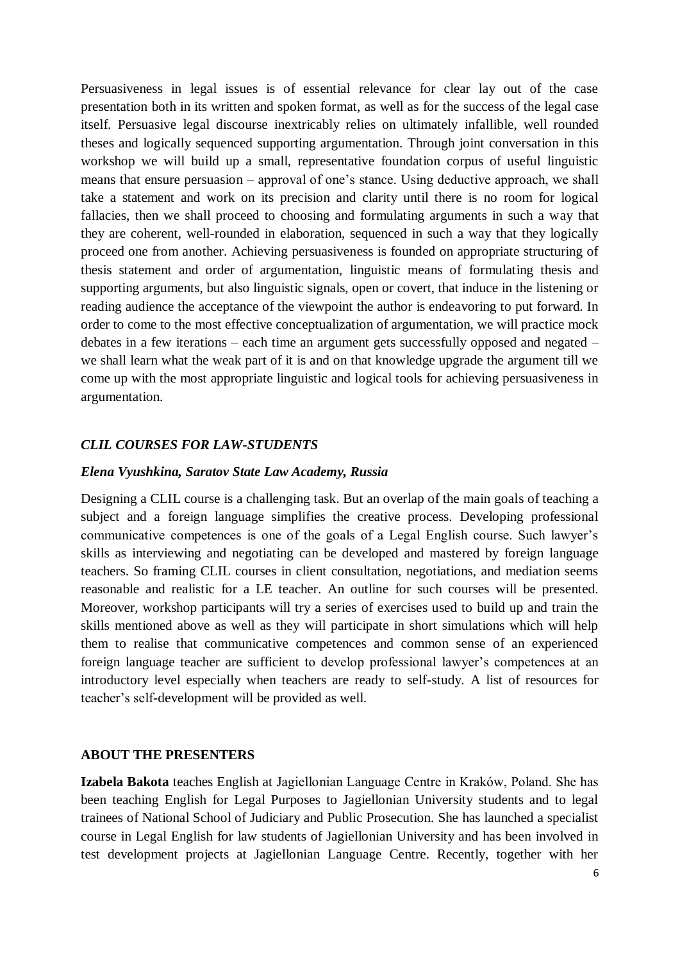Persuasiveness in legal issues is of essential relevance for clear lay out of the case presentation both in its written and spoken format, as well as for the success of the legal case itself. Persuasive legal discourse inextricably relies on ultimately infallible, well rounded theses and logically sequenced supporting argumentation. Through joint conversation in this workshop we will build up a small, representative foundation corpus of useful linguistic means that ensure persuasion – approval of one's stance. Using deductive approach, we shall take a statement and work on its precision and clarity until there is no room for logical fallacies, then we shall proceed to choosing and formulating arguments in such a way that they are coherent, well-rounded in elaboration, sequenced in such a way that they logically proceed one from another. Achieving persuasiveness is founded on appropriate structuring of thesis statement and order of argumentation, linguistic means of formulating thesis and supporting arguments, but also linguistic signals, open or covert, that induce in the listening or reading audience the acceptance of the viewpoint the author is endeavoring to put forward. In order to come to the most effective conceptualization of argumentation, we will practice mock debates in a few iterations – each time an argument gets successfully opposed and negated – we shall learn what the weak part of it is and on that knowledge upgrade the argument till we come up with the most appropriate linguistic and logical tools for achieving persuasiveness in argumentation.

## *CLIL COURSES FOR LAW-STUDENTS*

#### *Elena Vyushkina, Saratov State Law Academy, Russia*

Designing a CLIL course is a challenging task. But an overlap of the main goals of teaching a subject and a foreign language simplifies the creative process. Developing professional communicative competences is one of the goals of a Legal English course. Such lawyer's skills as interviewing and negotiating can be developed and mastered by foreign language teachers. So framing CLIL courses in client consultation, negotiations, and mediation seems reasonable and realistic for a LE teacher. An outline for such courses will be presented. Moreover, workshop participants will try a series of exercises used to build up and train the skills mentioned above as well as they will participate in short simulations which will help them to realise that communicative competences and common sense of an experienced foreign language teacher are sufficient to develop professional lawyer's competences at an introductory level especially when teachers are ready to self-study. A list of resources for teacher's self-development will be provided as well.

#### **ABOUT THE PRESENTERS**

**Izabela Bakota** teaches English at Jagiellonian Language Centre in Kraków, Poland. She has been teaching English for Legal Purposes to Jagiellonian University students and to legal trainees of National School of Judiciary and Public Prosecution. She has launched a specialist course in Legal English for law students of Jagiellonian University and has been involved in test development projects at Jagiellonian Language Centre. Recently, together with her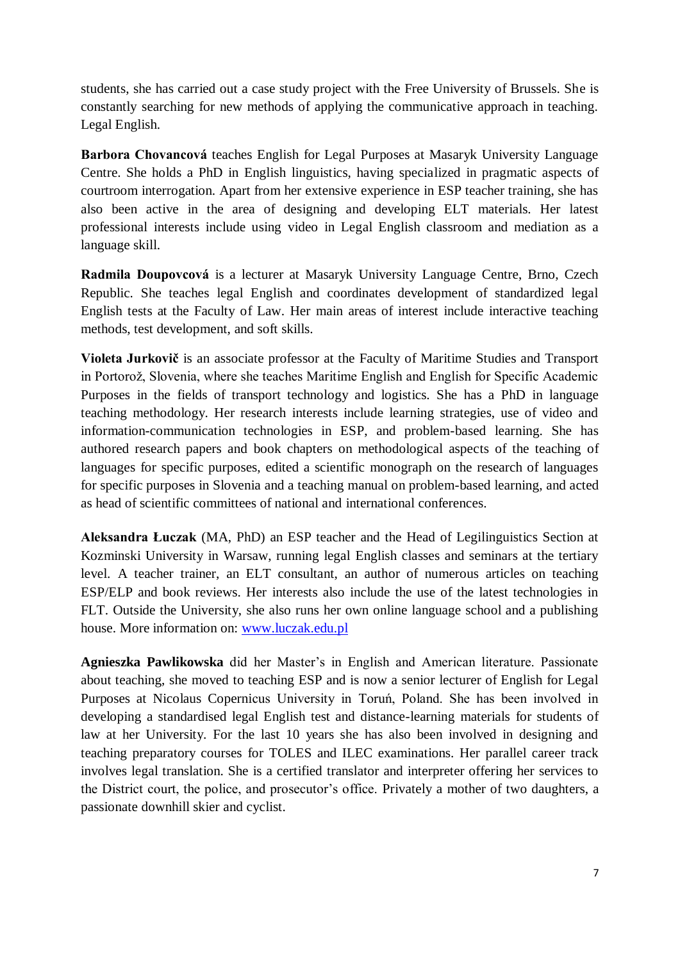students, she has carried out a case study project with the Free University of Brussels. She is constantly searching for new methods of applying the communicative approach in teaching. Legal English.

**Barbora Chovancová** teaches English for Legal Purposes at Masaryk University Language Centre. She holds a PhD in English linguistics, having specialized in pragmatic aspects of courtroom interrogation. Apart from her extensive experience in ESP teacher training, she has also been active in the area of designing and developing ELT materials. Her latest professional interests include using video in Legal English classroom and mediation as a language skill.

**Radmila Doupovcová** is a lecturer at Masaryk University Language Centre, Brno, Czech Republic. She teaches legal English and coordinates development of standardized legal English tests at the Faculty of Law. Her main areas of interest include interactive teaching methods, test development, and soft skills.

**Violeta Jurkovič** is an associate professor at the Faculty of Maritime Studies and Transport in Portorož, Slovenia, where she teaches Maritime English and English for Specific Academic Purposes in the fields of transport technology and logistics. She has a PhD in language teaching methodology. Her research interests include learning strategies, use of video and information-communication technologies in ESP, and problem-based learning. She has authored research papers and book chapters on methodological aspects of the teaching of languages for specific purposes, edited a scientific monograph on the research of languages for specific purposes in Slovenia and a teaching manual on problem-based learning, and acted as head of scientific committees of national and international conferences.

**Aleksandra Łuczak** (MA, PhD) an ESP teacher and the Head of Legilinguistics Section at Kozminski University in Warsaw, running legal English classes and seminars at the tertiary level. A teacher trainer, an ELT consultant, an author of numerous articles on teaching ESP/ELP and book reviews. Her interests also include the use of the latest technologies in FLT. Outside the University, she also runs her own online language school and a publishing house. More information on: [www.luczak.edu.pl](http://www.luczak.edu.pl/)

**Agnieszka Pawlikowska** did her Master's in English and American literature. Passionate about teaching, she moved to teaching ESP and is now a senior lecturer of English for Legal Purposes at Nicolaus Copernicus University in Toruń, Poland. She has been involved in developing a standardised legal English test and distance-learning materials for students of law at her University. For the last 10 years she has also been involved in designing and teaching preparatory courses for TOLES and ILEC examinations. Her parallel career track involves legal translation. She is a certified translator and interpreter offering her services to the District court, the police, and prosecutor's office. Privately a mother of two daughters, a passionate downhill skier and cyclist.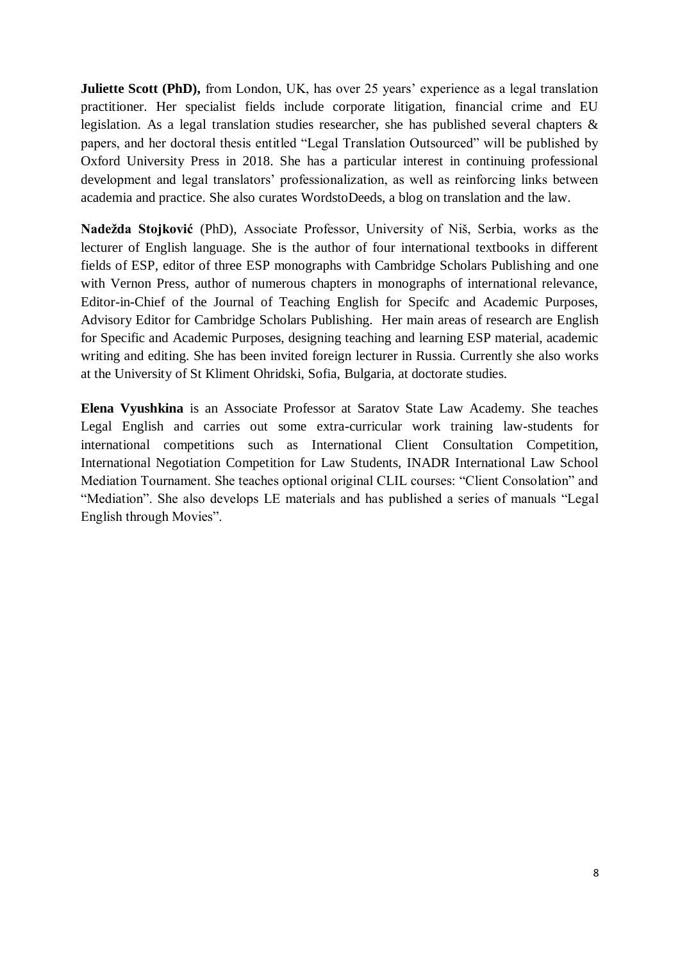**Juliette Scott (PhD),** from London, UK, has over 25 years' experience as a legal translation practitioner. Her specialist fields include corporate litigation, financial crime and EU legislation. As a legal translation studies researcher, she has published several chapters & papers, and her doctoral thesis entitled "Legal Translation Outsourced" will be published by Oxford University Press in 2018. She has a particular interest in continuing professional development and legal translators' professionalization, as well as reinforcing links between academia and practice. She also curates WordstoDeeds, a blog on translation and the law.

**Nadežda Stojković** (PhD), Associate Professor, University of Niš, Serbia, works as the lecturer of English language. She is the author of four international textbooks in different fields of ESP, editor of three ESP monographs with Cambridge Scholars Publishing and one with Vernon Press, author of numerous chapters in monographs of international relevance, Editor-in-Chief of the Journal of Teaching English for Specifc and Academic Purposes, Advisory Editor for Cambridge Scholars Publishing. Her main areas of research are English for Specific and Academic Purposes, designing teaching and learning ESP material, academic writing and editing. She has been invited foreign lecturer in Russia. Currently she also works at the University of St Kliment Ohridski, Sofia, Bulgaria, at doctorate studies.

**Elena Vyushkina** is an Associate Professor at Saratov State Law Academy. She teaches Legal English and carries out some extra-curricular work training law-students for international competitions such as International Client Consultation Competition, International Negotiation Competition for Law Students, INADR International Law School Mediation Tournament. She teaches optional original CLIL courses: "Client Consolation" and "Mediation". She also develops LE materials and has published a series of manuals "Legal English through Movies".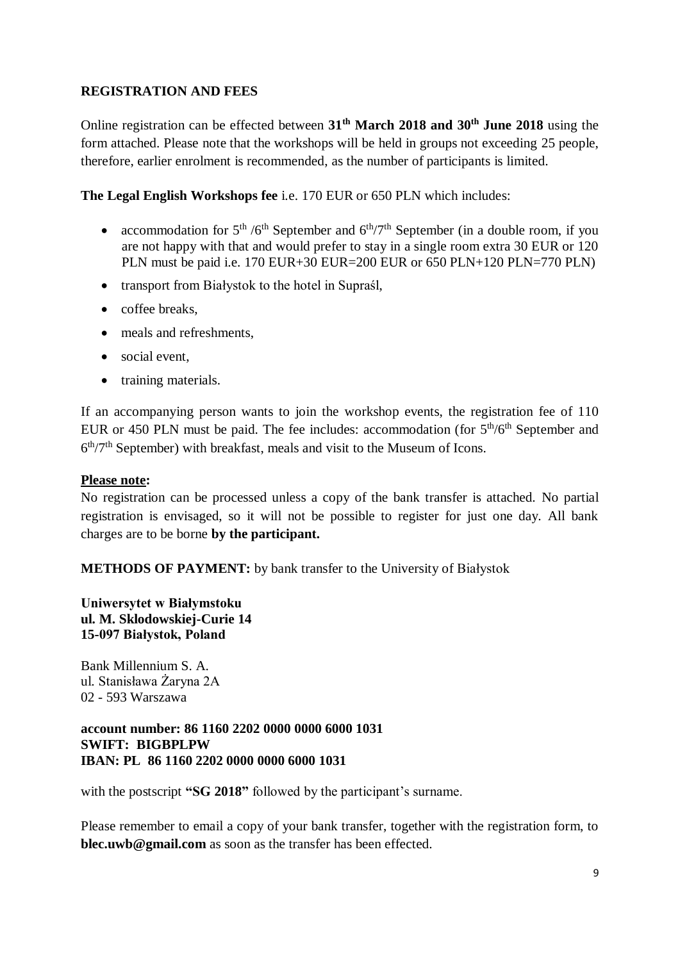## **REGISTRATION AND FEES**

Online registration can be effected between **31 th March 2018 and 30 th June 2018** using the form attached. Please note that the workshops will be held in groups not exceeding 25 people, therefore, earlier enrolment is recommended, as the number of participants is limited.

**The Legal English Workshops fee** i.e. 170 EUR or 650 PLN which includes:

- accommodation for  $5<sup>th</sup> / 6<sup>th</sup>$  September and  $6<sup>th</sup> / 7<sup>th</sup>$  September (in a double room, if you are not happy with that and would prefer to stay in a single room extra 30 EUR or 120 PLN must be paid i.e. 170 EUR+30 EUR=200 EUR or 650 PLN+120 PLN=770 PLN)
- transport from Białystok to the hotel in Supraśl,
- coffee breaks,
- meals and refreshments.
- social event.
- training materials.

If an accompanying person wants to join the workshop events, the registration fee of 110 EUR or 450 PLN must be paid. The fee includes: accommodation (for  $5<sup>th</sup>/6<sup>th</sup>$  September and 6<sup>th</sup>/7<sup>th</sup> September) with breakfast, meals and visit to the Museum of Icons.

#### **Please note:**

No registration can be processed unless a copy of the bank transfer is attached. No partial registration is envisaged, so it will not be possible to register for just one day. All bank charges are to be borne **by the participant.**

**METHODS OF PAYMENT:** by bank transfer to the University of Białystok

## **Uniwersytet w Białymstoku ul. M. Sklodowskiej-Curie 14 15-097 Białystok, Poland**

Bank Millennium S. A. ul. Stanisława Żaryna 2A 02 - 593 Warszawa

#### **account number: 86 1160 2202 0000 0000 6000 1031 SWIFT: BIGBPLPW IBAN: PL 86 1160 2202 0000 0000 6000 1031**

with the postscript **"SG 2018"** followed by the participant's surname.

Please remember to email a copy of your bank transfer, together with the registration form, to **blec.uwb@gmail.com** as soon as the transfer has been effected.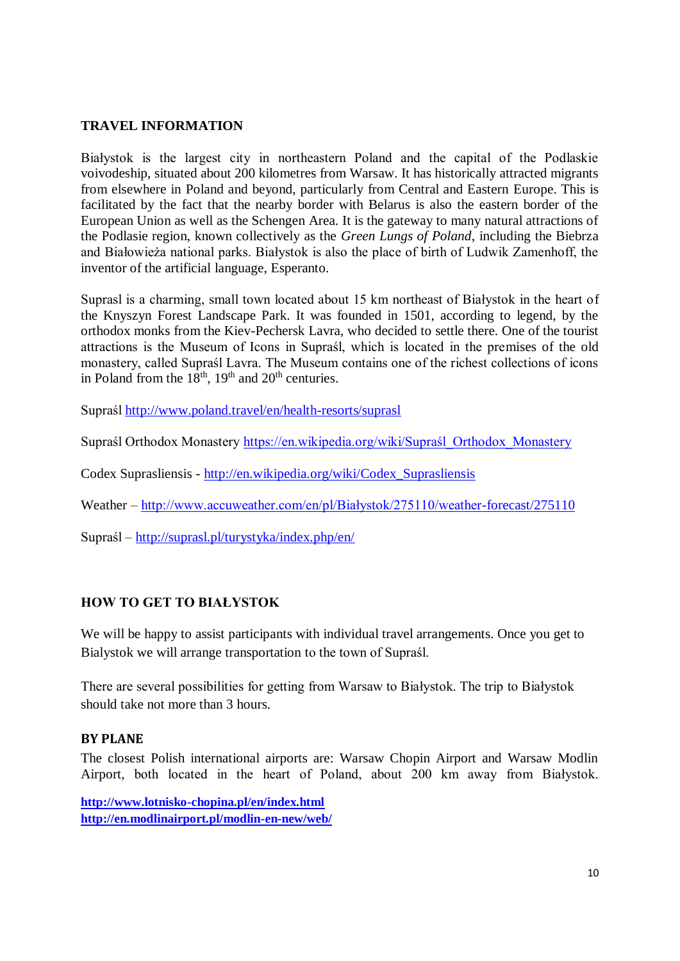## **TRAVEL INFORMATION**

Białystok is the largest city in northeastern Poland and the capital of the Podlaskie voivodeship, situated about 200 kilometres from Warsaw. It has historically attracted migrants from elsewhere in Poland and beyond, particularly from Central and Eastern Europe. This is facilitated by the fact that the nearby border with Belarus is also the eastern border of the European Union as well as the Schengen Area. It is the gateway to many natural attractions of the Podlasie region, known collectively as the *Green Lungs of Poland*, including the Biebrza and Białowieża national parks. Białystok is also the place of birth of Ludwik Zamenhoff, the inventor of the artificial language, Esperanto.

Suprasl is a charming, small town located about 15 km northeast of Białystok in the heart of the Knyszyn Forest Landscape Park. It was founded in 1501, according to legend, by the orthodox monks from the Kiev-Pechersk Lavra, who decided to settle there. One of the tourist attractions is the Museum of Icons in Supraśl, which is located in the premises of the old monastery, called Supraśl Lavra. The Museum contains one of the richest collections of icons in Poland from the  $18<sup>th</sup>$ ,  $19<sup>th</sup>$  and  $20<sup>th</sup>$  centuries.

Supraśl<http://www.poland.travel/en/health-resorts/suprasl>

Supraśl Orthodox Monastery https://en.wikipedia.org/wiki/Supraśl Orthodox Monastery

Codex Suprasliensis - [http://en.wikipedia.org/wiki/Codex\\_Suprasliensis](http://en.wikipedia.org/wiki/Codex_Suprasliensis)

Weather – [http://www.accuweather.com/en/pl/Białystok/275110/weather-forecast/275110](http://www.accuweather.com/en/pl/bialystok/275110/weather-forecast/275110)

Supraśl – <http://suprasl.pl/turystyka/index.php/en/>

## **HOW TO GET TO BIAŁYSTOK**

We will be happy to assist participants with individual travel arrangements. Once you get to Bialystok we will arrange transportation to the town of Supraśl.

There are several possibilities for getting from Warsaw to Białystok. The trip to Białystok should take not more than 3 hours.

#### **BY PLANE**

The closest Polish international airports are: Warsaw Chopin Airport and Warsaw Modlin Airport, both located in the heart of Poland, about 200 km away from Białystok.

**<http://www.lotnisko-chopina.pl/en/index.html> <http://en.modlinairport.pl/modlin-en-new/web/>**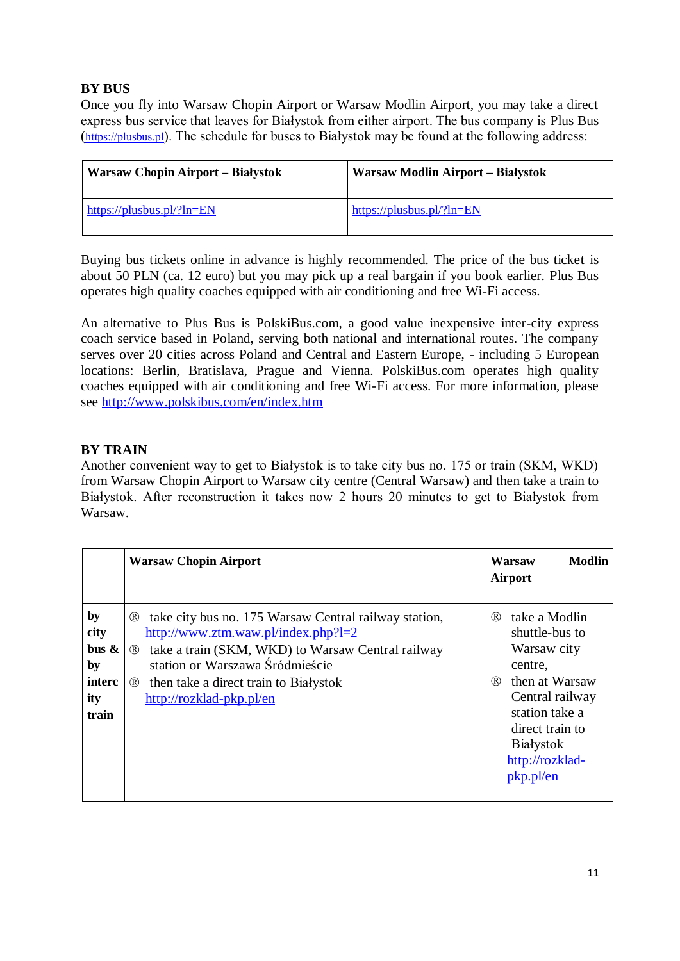# **BY BUS**

Once you fly into Warsaw Chopin Airport or Warsaw Modlin Airport, you may take a direct express bus service that leaves for Białystok from either airport. The bus company is Plus Bus ([https://plusbus.pl](https://plusbus.pl/)). The schedule for buses to Białystok may be found at the following address:

| <b>Warsaw Chopin Airport – Białystok</b> | Warsaw Modlin Airport – Białystok |
|------------------------------------------|-----------------------------------|
| https://plusbus.pl/?ln= $EN$             | https://plusbus.pl/?ln=EN         |

Buying bus tickets online in advance is highly recommended. The price of the bus ticket is about 50 PLN (ca. 12 euro) but you may pick up a real bargain if you book earlier. Plus Bus operates high quality coaches equipped with air conditioning and free Wi-Fi access.

An alternative to Plus Bus is PolskiBus.com, a good value inexpensive inter-city express coach service based in Poland, serving both national and international routes. The company serves over 20 cities across Poland and Central and Eastern Europe, - including 5 European locations: Berlin, Bratislava, Prague and Vienna. PolskiBus.com operates high quality coaches equipped with air conditioning and free Wi-Fi access. For more information, please see<http://www.polskibus.com/en/index.htm>

# **BY TRAIN**

Another convenient way to get to Białystok is to take city bus no. 175 or train (SKM, WKD) from Warsaw Chopin Airport to Warsaw city centre (Central Warsaw) and then take a train to Białystok. After reconstruction it takes now 2 hours 20 minutes to get to Białystok from Warsaw.

|                                                                 | <b>Warsaw Chopin Airport</b>                                                                                                                                                                                                                                                                             | <b>Modlin</b><br>Warsaw<br><b>Airport</b>                                                                                                                                                             |
|-----------------------------------------------------------------|----------------------------------------------------------------------------------------------------------------------------------------------------------------------------------------------------------------------------------------------------------------------------------------------------------|-------------------------------------------------------------------------------------------------------------------------------------------------------------------------------------------------------|
| by<br>city<br>$_{\text{bus}}$ &<br>by<br>interc<br>ity<br>train | take city bus no. 175 Warsaw Central railway station,<br>$\circledR$<br>$http://www.ztm.waw.pl/index.php?l=2$<br>take a train (SKM, WKD) to Warsaw Central railway<br>$\circledR$<br>station or Warszawa Śródmieście<br>then take a direct train to Białystok<br>$\circledR$<br>http://rozklad-pkp.pl/en | take a Modlin<br>(R)<br>shuttle-bus to<br>Warsaw city<br>centre.<br>then at Warsaw<br>(R)<br>Central railway<br>station take a<br>direct train to<br><b>Białystok</b><br>http://rozklad-<br>pkp.pl/en |